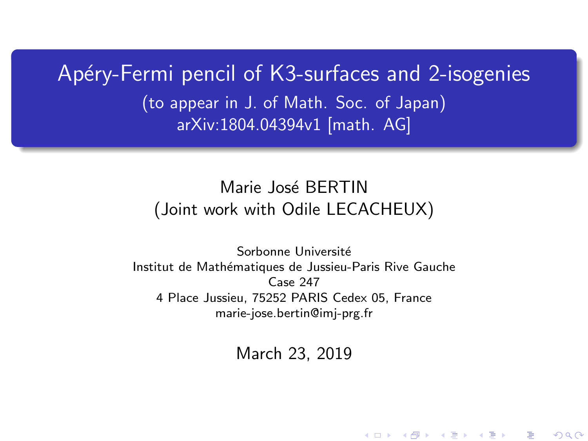<span id="page-0-0"></span>Apéry-Fermi pencil of K3-surfaces and 2-isogenies (to appear in J. of Math. Soc. of Japan) arXiv:1804.04394v1 [math. AG]

## Marie José BERTIN (Joint work with Odile LECACHEUX)

Sorbonne Université Institut de Mathématiques de Jussieu-Paris Rive Gauche Case 247 4 Place Jussieu, 75252 PARIS Cedex 05, France marie-jose.bertin@imj-prg.fr

March 23, 2019

K ロ K K d K K K X X R X X R X R R

 $2Q$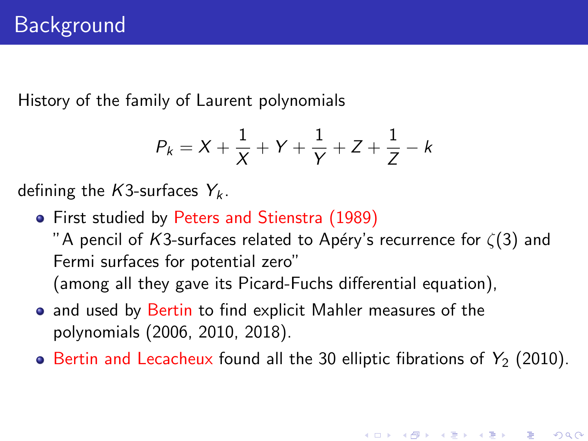History of the family of Laurent polynomials

$$
P_k = X + \frac{1}{X} + Y + \frac{1}{Y} + Z + \frac{1}{Z} - k
$$

defining the K3-surfaces  $Y_k$ .

First studied by Peters and Stienstra (1989)

"A pencil of K3-surfaces related to Apéry's recurrence for  $\zeta(3)$  and Fermi surfaces for potential zero" (among all they gave its Picard-Fuchs differential equation),

- and used by Bertin to find explicit Mahler measures of the polynomials (2006, 2010, 2018).
- $\bullet$  Bertin and Lecacheux found all the 30 elliptic fibrations of  $Y_2$  (2010).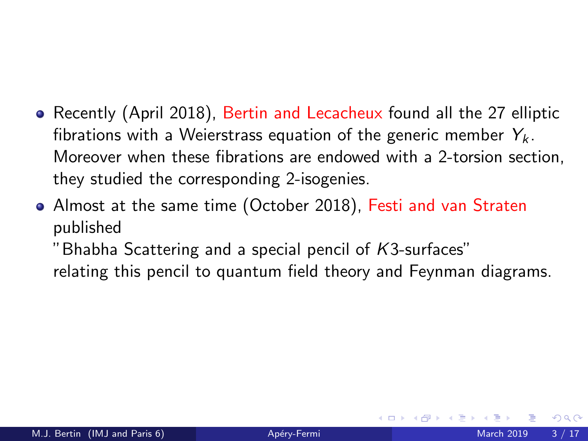- Recently (April 2018), Bertin and Lecacheux found all the 27 elliptic fibrations with a Weierstrass equation of the generic member  $Y_k$ . Moreover when these fibrations are endowed with a 2-torsion section, they studied the corresponding 2-isogenies.
- Almost at the same time (October 2018), Festi and van Straten published

"Bhabha Scattering and a special pencil of K3-surfaces" relating this pencil to quantum field theory and Feynman diagrams.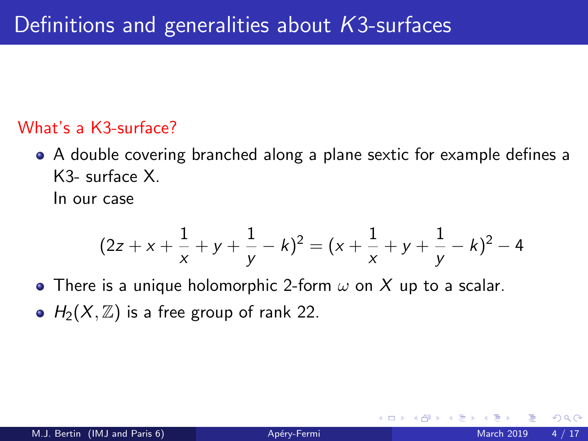## What's a K3-surface?

A double covering branched along a plane sextic for example defines a K3- surface X.

In our case

$$
(2z + x + \frac{1}{x} + y + \frac{1}{y} - k)^2 = (x + \frac{1}{x} + y + \frac{1}{y} - k)^2 - 4
$$

• There is a unique holomorphic 2-form  $\omega$  on X up to a scalar. •  $H_2(X, \mathbb{Z})$  is a free group of rank 22.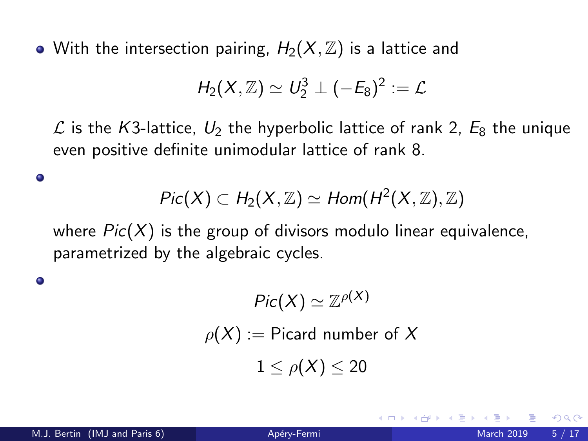• With the intersection pairing,  $H_2(X, \mathbb{Z})$  is a lattice and

$$
\mathit{H}_2(X,\mathbb{Z})\simeq U_2^3\perp (-\mathit{E}_8)^2:=\mathcal{L}
$$

 $\mathcal L$  is the K3-lattice,  $U_2$  the hyperbolic lattice of rank 2,  $E_8$  the unique even positive definite unimodular lattice of rank 8.

$$
Pic(X) \subset H_2(X,\mathbb{Z}) \simeq Hom(H^2(X,\mathbb{Z}),\mathbb{Z})
$$

where  $Pic(X)$  is the group of divisors modulo linear equivalence, parametrized by the algebraic cycles.

$$
Pic(X) \simeq \mathbb{Z}^{\rho(X)}
$$
  

$$
\rho(X) := \text{Picard number of } X
$$
  

$$
1 \le \rho(X) \le 20
$$

٥

٥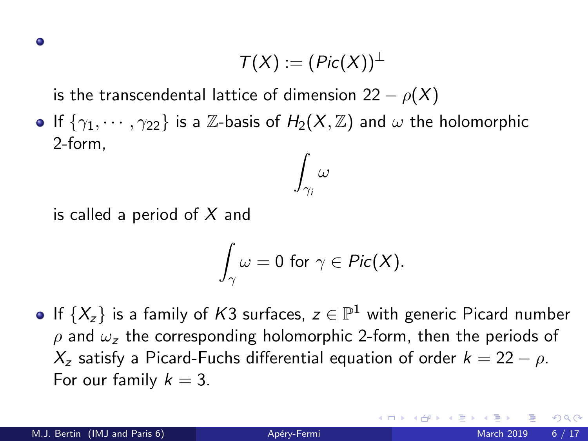$$
\mathcal{T}(X):=(\mathit{Pic}(X))^{\perp}
$$

is the transcendental lattice of dimension 22  $\rho(X)$ 

If  $\{\gamma_1, \cdots, \gamma_{22}\}$  is a Z-basis of  $H_2(X, \mathbb{Z})$  and  $\omega$  the holomorphic 2-form,  $\int \omega$ 

is called a period of  $X$  and

$$
\int_{\gamma}\omega=0\,\,\text{for}\,\,\gamma\in\mathit{Pic}(X).
$$

 $\gamma_i$ 

If  $\{X_z\}$  is a family of  $K3$  surfaces,  $z\in\mathbb{P}^1$  with generic Picard number  $ρ$  and  $ω<sub>z</sub>$  the corresponding holomorphic 2-form, then the periods of  $X_z$  satisfy a Picard-Fuchs differential equation of order  $k = 22 - \rho$ . For our family  $k = 3$ .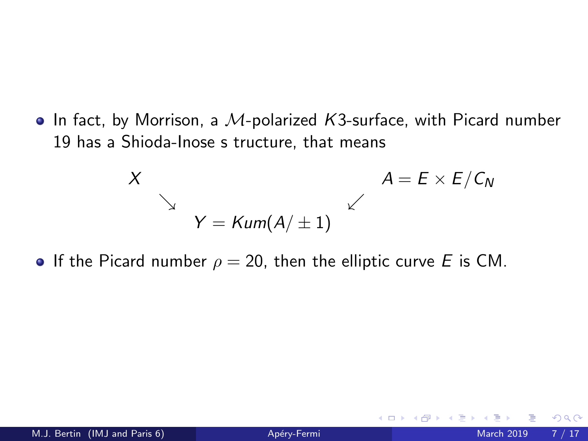$\bullet$  In fact, by Morrison, a M-polarized K3-surface, with Picard number 19 has a Shioda-Inose s tructure, that means

$$
X
$$
\n
$$
Y = \text{Kum}(A/\pm 1)
$$
\n
$$
A = E \times E/C_N
$$

If the Picard number  $\rho = 20$ , then the elliptic curve E is CM.

4 0 8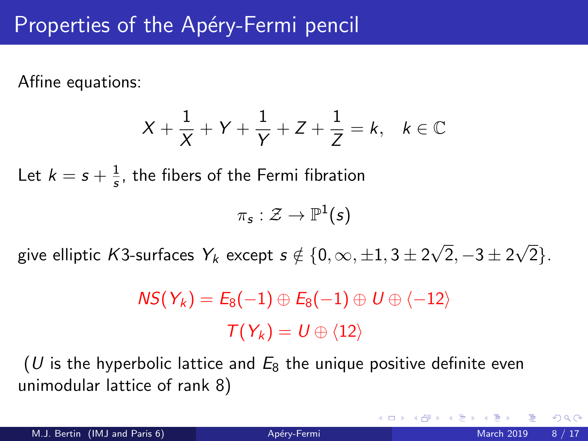# Properties of the Apéry-Fermi pencil

Affine equations:

$$
X+\frac{1}{X}+Y+\frac{1}{Y}+Z+\frac{1}{Z}=k, \quad k\in\mathbb{C}
$$

Let  $k=s+\frac{1}{s}$  $\frac{1}{s}$ , the fibers of the Fermi fibration

$$
\pi_{\mathsf{s}}:\mathcal{Z}\to\mathbb{P}^1(\mathsf{s})
$$

give elliptic  $\mathcal{K}3$ -surfaces  $\textit{Y}_k$  except  $s \notin \{0, \infty, \pm 1, 3 \pm 2\}$ √  $2, -3 \pm 2$ √ 2}.

$$
NS(Y_k) = E_8(-1) \oplus E_8(-1) \oplus U \oplus \langle -12 \rangle
$$

$$
T(Y_k) = U \oplus \langle 12 \rangle
$$

(U is the hyperbolic lattice and  $E_8$  the unique positive definite even unimodular lattice of rank 8)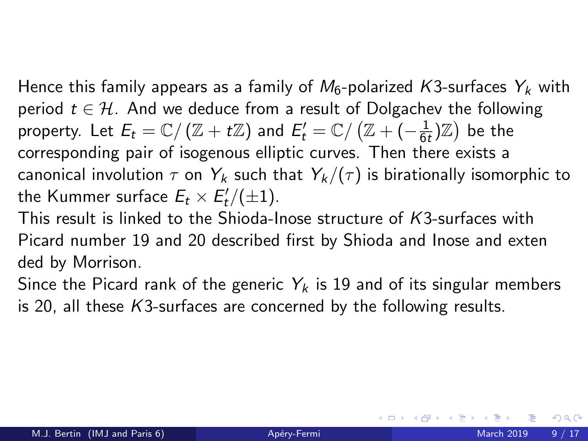Hence this family appears as a family of  $M_6$ -polarized K3-surfaces  $Y_k$  with period  $t \in \mathcal{H}$ . And we deduce from a result of Dolgachev the following property. Let  $E_t = \mathbb{C}/\left(\mathbb{Z} + t\mathbb{Z}\right)$  and  $E'_t = \mathbb{C}/\left(\mathbb{Z} + (-\frac{1}{6t})\right)$  $\frac{1}{6t}$ ) $\mathbb{Z}$ ) be the corresponding pair of isogenous elliptic curves. Then there exists a canonical involution  $\tau$  on  $Y_k$  such that  $Y_k/(\tau)$  is birationally isomorphic to the Kummer surface  $E_t\times E'_t/(\pm 1)$ .

This result is linked to the Shioda-Inose structure of K3-surfaces with Picard number 19 and 20 described first by Shioda and Inose and exten ded by Morrison.

Since the Picard rank of the generic  $Y_k$  is 19 and of its singular members is 20, all these K3-surfaces are concerned by the following results.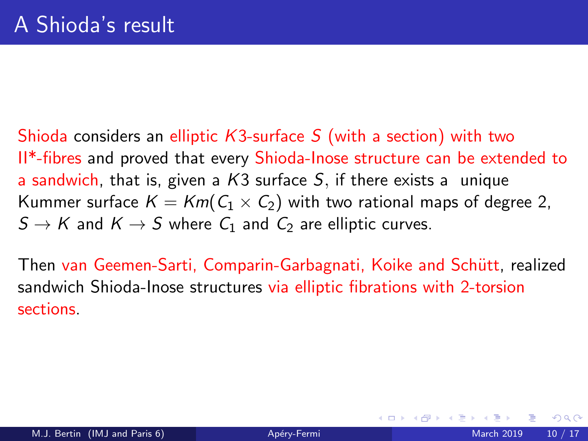Shioda considers an elliptic  $K3$ -surface S (with a section) with two II\*-fibres and proved that every Shioda-Inose structure can be extended to a sandwich, that is, given a  $K3$  surface S, if there exists a unique Kummer surface  $K = Km(C_1 \times C_2)$  with two rational maps of degree 2,  $S \to K$  and  $K \to S$  where  $C_1$  and  $C_2$  are elliptic curves.

Then van Geemen-Sarti, Comparin-Garbagnati, Koike and Schütt, realized sandwich Shioda-Inose structures via elliptic fibrations with 2-torsion sections.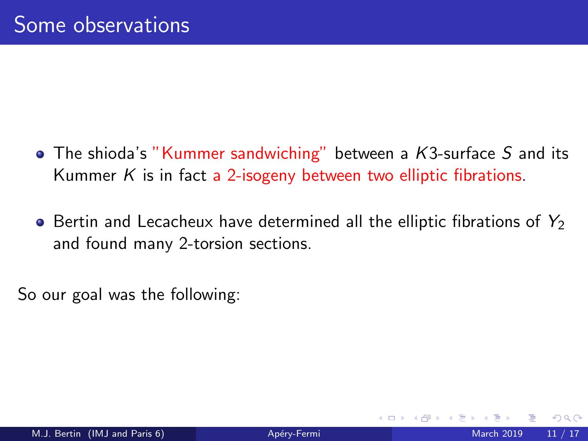- $\bullet$  The shioda's "Kummer sandwiching" between a K3-surface S and its Kummer  $K$  is in fact a 2-isogeny between two elliptic fibrations.
- $\bullet$  Bertin and Lecacheux have determined all the elliptic fibrations of  $Y_2$ and found many 2-torsion sections.

So our goal was the following: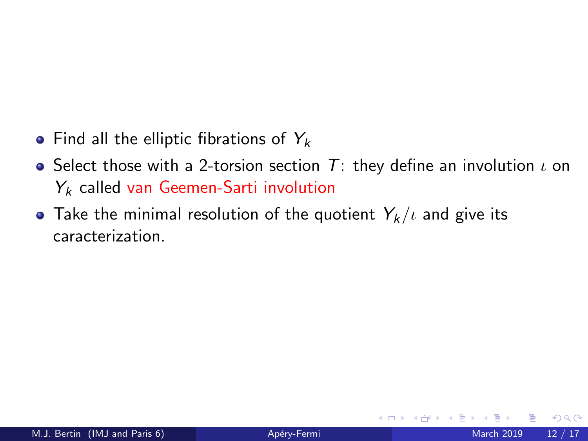- Find all the elliptic fibrations of  $Y_k$
- Select those with a 2-torsion section  $T$ : they define an involution  $\iota$  on  $Y_k$  called van Geemen-Sarti involution
- Take the minimal resolution of the quotient  $Y_k/\iota$  and give its caracterization.

4 0 8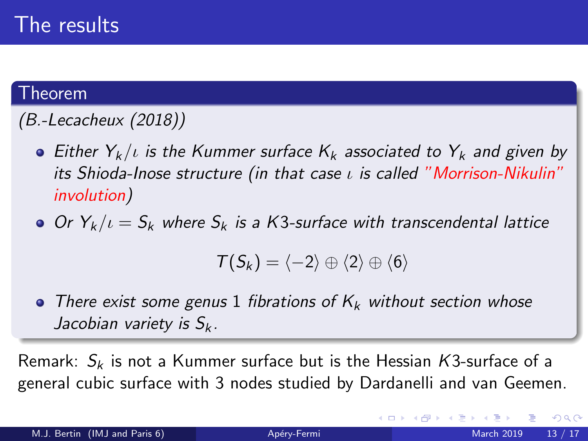#### Theorem

# (B.-Lecacheux (2018))

- **Either**  $Y_k/t$  **is the Kummer surface**  $K_k$  **associated to**  $Y_k$  **and given by** its Shioda-Inose structure (in that case  $\iota$  is called "Morrison-Nikulin" involution)
- Or  $Y_k/\iota = S_k$  where  $S_k$  is a K3-surface with transcendental lattice

$$
\mathcal{T}(S_k)=\langle -2\rangle\oplus\langle 2\rangle\oplus\langle 6\rangle
$$

• There exist some genus 1 fibrations of  $K_k$  without section whose Jacobian variety is  $S_k$ .

Remark:  $S_k$  is not a Kummer surface but is the Hessian K3-surface of a general cubic surface with 3 nodes studied by Dardanelli and van Geemen.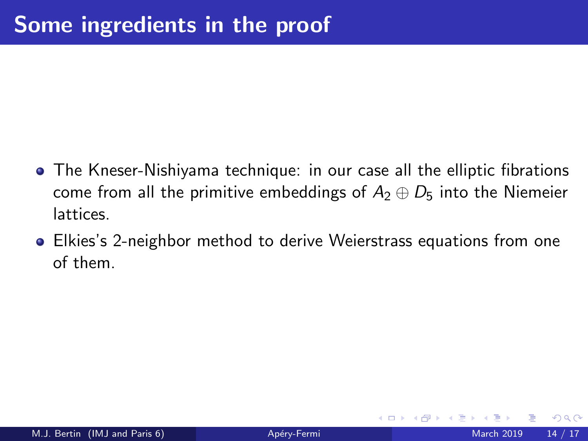- The Kneser-Nishiyama technique: in our case all the elliptic fibrations come from all the primitive embeddings of  $A_2 \oplus D_5$  into the Niemeier lattices.
- **•** Elkies's 2-neighbor method to derive Weierstrass equations from one of them.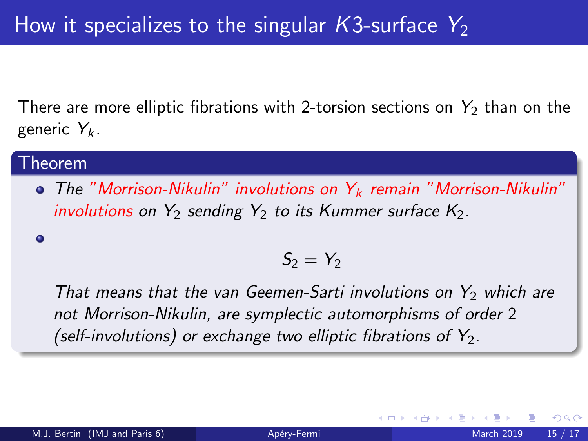There are more elliptic fibrations with 2-torsion sections on  $Y_2$  than on the generic  $Y_k$ .

#### Theorem

 $\bullet$  The "Morrison-Nikulin" involutions on  $Y_k$  remain "Morrison-Nikulin" involutions on  $Y_2$  sending  $Y_2$  to its Kummer surface  $K_2$ .

 $\bullet$ 

$$
\mathcal{S}_2=\mathcal{Y}_2
$$

That means that the van Geemen-Sarti involutions on  $Y_2$  which are not Morrison-Nikulin, are symplectic automorphisms of order 2 (self-involutions) or exchange two elliptic fibrations of  $Y_2$ .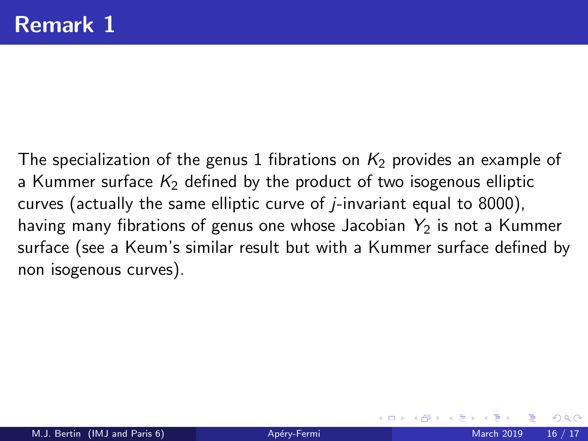The specialization of the genus 1 fibrations on  $K<sub>2</sub>$  provides an example of a Kummer surface  $K<sub>2</sub>$  defined by the product of two isogenous elliptic curves (actually the same elliptic curve of  $j$ -invariant equal to 8000), having many fibrations of genus one whose Jacobian  $Y_2$  is not a Kummer surface (see a Keum's similar result but with a Kummer surface defined by non isogenous curves).